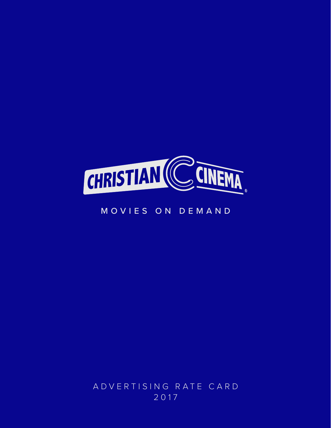

# MOVIES ON DEMAN D

ADVERTISING RATE CARD 2017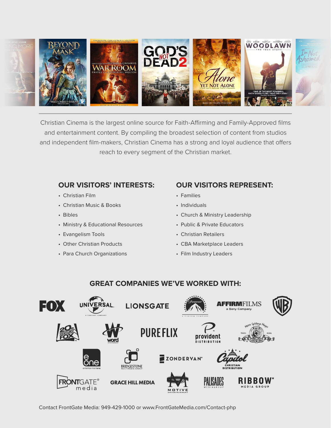

Christian Cinema is the largest online source for Faith-Affirming and Family-Approved films and entertainment content. By compiling the broadest selection of content from studios and independent film-makers, Christian Cinema has a strong and loyal audience that offers reach to every segment of the Christian market.

#### **OUR VISITORS' INTERESTS:**

- Christian Film
- Christian Music & Books
- Bibles
- Ministry & Educational Resources
- Evangelism Tools
- Other Christian Products
- Para Church Organizations

#### **OUR VISITORS REPRESENT:**

- Families
- Individuals
- Church & Ministry Leadership
- Public & Private Educators
- Christian Retailers
- CBA Marketplace Leaders
- Film Industry Leaders

#### **GREAT COMPANIES WE'VE WORKED WITH:**



Contact FrontGate Media: 949-429-1000 or www.FrontGateMedia.com/Contact-php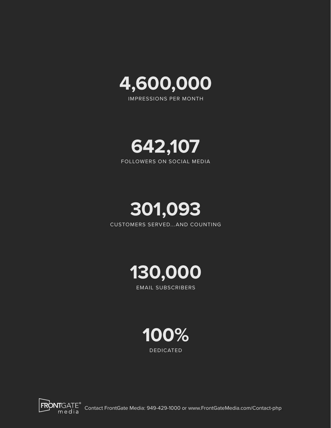

IMPRESSIONS PER MONTH





CUSTOMERS SERVED...AND COUNTING



EMAIL SUBSCRIBERS





FRONTGATE<sup>®</sup> Contact FrontGate Media: 949-429-1000 or www.FrontGateMedia.com/Contact-php<br>media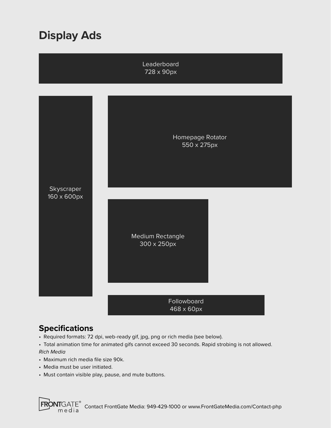# **Display Ads**

Leaderboard 728 x 90px



468 x 60px

### **Specifications**

- Required formats: 72 dpi, web-ready gif, jpg, png or rich media (see below).
- Total animation time for animated gifs cannot exceed 30 seconds. Rapid strobing is not allowed. *Rich Media*
- Maximum rich media file size 90k.
- Media must be user initiated.
- Must contain visible play, pause, and mute buttons.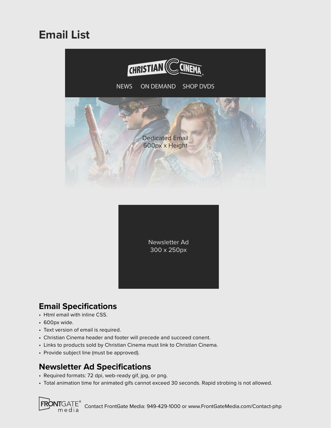# **Email List**



Newsletter Ad 300 x 250px

# **Email Specifications**

- Html email with inline CSS.
- 600px wide.

**FRONT**GATE® media

- Text version of email is required.
- Christian Cinema header and footer will precede and succeed conent.
- Links to products sold by Christian Cinema must link to Christian Cinema.
- Provide subject line (must be approved).

### **Newsletter Ad Specifications**

- Required formats: 72 dpi, web-ready gif, jpg, or png.
- Total animation time for animated gifs cannot exceed 30 seconds. Rapid strobing is not allowed.

Contact FrontGate Media: 949-429-1000 or www.FrontGateMedia.com/Contact-php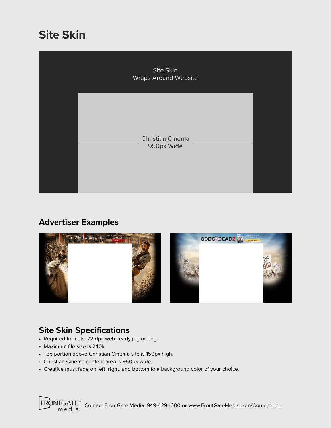# **Site Skin**



# **Advertiser Examples**



# **Site Skin Specifications**

- Required formats: 72 dpi, web-ready jpg or png.
- Maximum file size is 240k.
- Top portion above Christian Cinema site is 150px high.
- Christian Cinema content area is 950px wide.
- Creative must fade on left, right, and bottom to a background color of your choice.